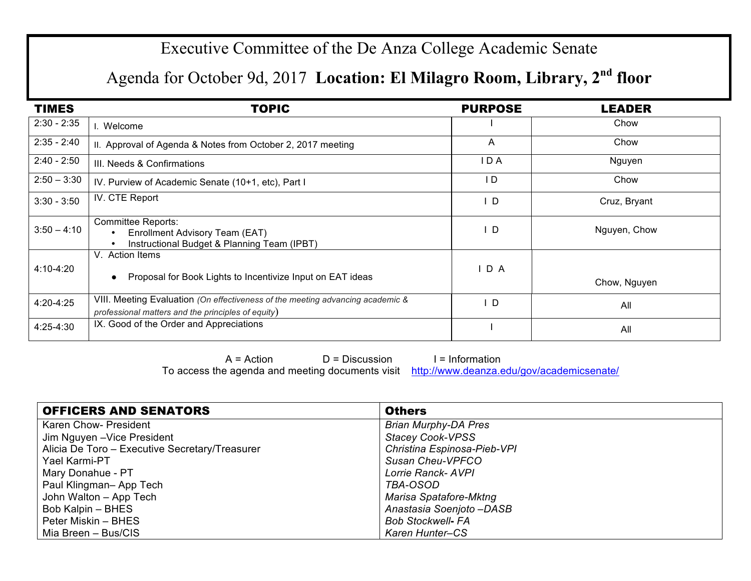## Executive Committee of the De Anza College Academic Senate

## Agenda for October 9d, 2017 **Location: El Milagro Room, Library, 2nd floor**

| <b>TIMES</b>  | <b>TOPIC</b>                                                                                                                         | <b>PURPOSE</b> | <b>LEADER</b> |
|---------------|--------------------------------------------------------------------------------------------------------------------------------------|----------------|---------------|
| $2:30 - 2:35$ | I. Welcome                                                                                                                           |                | Chow          |
| $2:35 - 2:40$ | II. Approval of Agenda & Notes from October 2, 2017 meeting                                                                          | A              | Chow          |
| $2:40 - 2:50$ | III. Needs & Confirmations                                                                                                           | I D A          | Nguyen        |
| $2:50 - 3:30$ | IV. Purview of Academic Senate (10+1, etc), Part I                                                                                   | I D            | Chow          |
| $3:30 - 3:50$ | IV. CTE Report                                                                                                                       | D              | Cruz, Bryant  |
| $3:50 - 4:10$ | <b>Committee Reports:</b><br>Enrollment Advisory Team (EAT)<br>Instructional Budget & Planning Team (IPBT)                           | D              | Nguyen, Chow  |
| 4:10-4:20     | V. Action Items<br>Proposal for Book Lights to Incentivize Input on EAT ideas                                                        | IDA            | Chow, Nguyen  |
| 4:20-4:25     | VIII. Meeting Evaluation (On effectiveness of the meeting advancing academic &<br>professional matters and the principles of equity) | D              | All           |
| 4:25-4:30     | IX. Good of the Order and Appreciations                                                                                              |                | All           |

 $A = Action$  D = Discussion I = Information To access the agenda and meeting documents visit http://www.deanza.edu/gov/academicsenate/

| <b>OFFICERS AND SENATORS</b>                   | <b>Others</b>               |
|------------------------------------------------|-----------------------------|
| Karen Chow- President                          | <b>Brian Murphy-DA Pres</b> |
| Jim Nguyen - Vice President                    | <b>Stacey Cook-VPSS</b>     |
| Alicia De Toro - Executive Secretary/Treasurer | Christina Espinosa-Pieb-VPI |
| Yael Karmi-PT                                  | Susan Cheu-VPFCO            |
| Mary Donahue - PT                              | Lorrie Ranck-AVPI           |
| Paul Klingman-App Tech                         | TBA-OSOD                    |
| John Walton - App Tech                         | Marisa Spatafore-Mktng      |
| Bob Kalpin – BHES                              | Anastasia Soenjoto -DASB    |
| Peter Miskin – BHES                            | <b>Bob Stockwell- FA</b>    |
| Mia Breen – Bus/CIS                            | Karen Hunter-CS             |